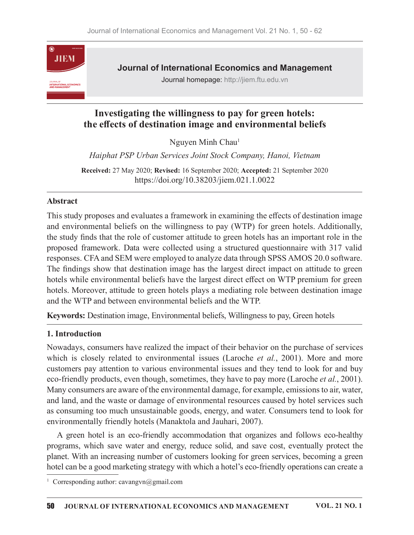

## Investigating the willingness to pay for green hotels: the effects of destination image and environmental beliefs

Nguyen Minh Chau<sup>1</sup>  $1$  and  $1$  and  $1$  and  $1$  and  $1$  and  $1$  and  $1$  and  $1$  and  $1$  and  $1$  and  $1$  and  $1$  and  $1$  and  $1$  and  $1$  and  $1$  and  $1$  and  $1$  and  $1$  and  $1$  and  $1$  and  $1$  and  $1$  and  $1$  and  $1$  and  $1$  and  $1$  and  $1$  a

Haiphat PSP Urban Services Joint Stock Company, Hanoi, Vietnam

Received: 27 May 2020; Revised: 16 September 2020; Accepted: 21 September 2020 https://doi.org/10.38203/jiem.021.1.0022

### Abstract

This study proposes and evaluates a framework in examining the effects of destination image and environmental beliefs on the willingness to pay (WTP) for green hotels. Additionally, the study finds that the role of customer attitude to green hotels has an important role in the proposed framework. Data were collected using a structured questionnaire with 317 valid responses. CFA and SEM were employed to analyze data through SPSS AMOS 20.0 software. The findings show that destination image has the largest direct impact on attitude to green hotels while environmental beliefs have the largest direct effect on WTP premium for green hotels. Moreover, attitude to green hotels plays a mediating role between destination image and theWTP and between environmental beliefs and the WTP. **Abstract**<br>This study proposes and evaluates a framework in examining the effects of destination image<br>and environmental beliefs on the willingness to pay (WTP) for green hotels. Additionally,<br>the study finds that the rol

Keywords: Destination image, Environmental beliefs, Willingness to pay, Green hotels

### 1. Introduction

Nowadays, consumers have realized the impact of their behavior on the purchase of services customers pay attention to various environmental issues and they tend to look for and buy eco-friendly products, even though, sometimes, they have to pay more (Laroche et al., 2001). Many consumers are aware of the environmental damage, for example, emissions to air, water, and land, and the waste or damage of environmental resources caused by hotel services such as consuming too much unsustainable goods, energy, and water. Consumers tend to look for environmentally friendly hotels (Manaktola and Jauhari, 2007). Elemburgs show that destination image has the largest direct impact on attitude to green<br>fels while environmental beliefs have the largest direct effect on WTP premium for green<br>els. Moreover, attitude to green hotels pla

programs, which save water and energy, reduce solid, and save cost, eventually protect the planet. With an increasing number of customers looking for green services, becoming a green hotel can be a good marketing strategy with which a hotel's eco-friendly operations can create a

<sup>&</sup>lt;sup>1</sup> Corresponding author: cavangvn@gmail.com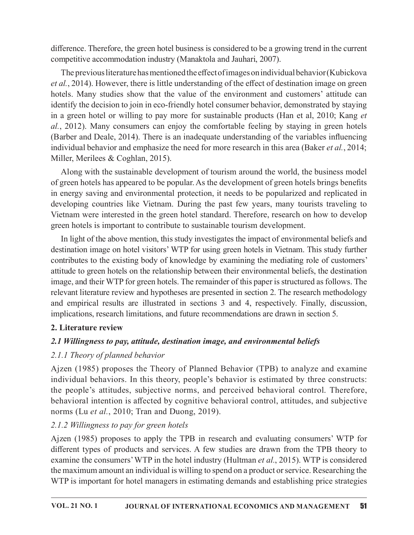difference. Therefore, the green hotel business is considered to be a growing trend in the current competitive accommodation industry (Manaktola and Jauhari, 2007).

The previous literature has mentioned the effect of images on individual behavior (Kubickova et al., 2014). However, there is little understanding of the effect of destination image on green difference. Therefore, the green hotel business is considered to be a growing trend in the current competitive accommodation industry (Manaktola and Jauhari, 2007). The previous literature has mentioned the effect of image identify the decision to join in eco-friendly hotel consumer behavior, demonstrated by staying in a green hotel or willing to pay more for sustainable products (Han et al,  $2010$ ; Kang et  $al.$ , 2012). Many consumers can enjoy the comfortable feeling by staying in green hotels (Barber and Deale, 2014). There is an inadequate understanding of the variables influencing individual behavior and emphasize the need for more research in this area (Baker et al., 2014; Miller, Merilees & Coghlan, 2015).

Along with the sustainable development of tourism around the world, the business model of green hotels has appeared to be popular. As the development of green hotels brings benefits in energy saving and environmental protection, it needs to be popularized and replicated in developing countries like Vietnam. During the past few years, many tourists traveling to Vietnam were interested in the green hotel standard.Therefore, research on how to develop green hotels is important to contribute to sustainable tourism development.

In light of the above mention, this study investigates the impact of environmental beliefs and destination image on hotel visitors' WTP for using green hotels in Vietnam. This study further contributes to the existing body of knowledge by examining the mediating role of customers' attitude to green hotels on the relationship between their environmental beliefs, the destination image, and their WTP for green hotels. The remainder of this paper is structured as follows. The relevant literature review and hypotheses are presented in section 2. The research methodology and empirical results are illustrated in sections 3 and 4, respectively. Finally, discussion, implications, research limitations, and future recommendations are drawn in section 5.

## 2. Literature review

# 2.1 Willingness to pay, attitude, destination image, and environmental beliefs

# $2.1.1$  Theory of planned behavior

Ajzen (1985) proposes the Theory of Planned Behavior(TPB) to analyze and examine individual behaviors. In this theory, people's behavior is estimated by three constructs: the people's attitudes, subjective norms, and perceived behavioral control. Therefore, behavioral intention is affected by cognitive behavioral control, attitudes, and subjective norms (Lu *et al.*, 2010; Tran and Duong, 2019).

# 2.1.2 Willingness to pay for green hotels

Ajzen (1985) proposes to apply the TPB in research and evaluating consumers' WTP for different types of products and services. A few studies are drawn from the TPB theory to examine the consumers' WTP in the hotel industry (Hultman *et al.*, 2015). WTP is considered the maximum amount an individual is willing to spend on a product or service. Researching the WTP is important for hotel managers in estimating demands and establishing price strategies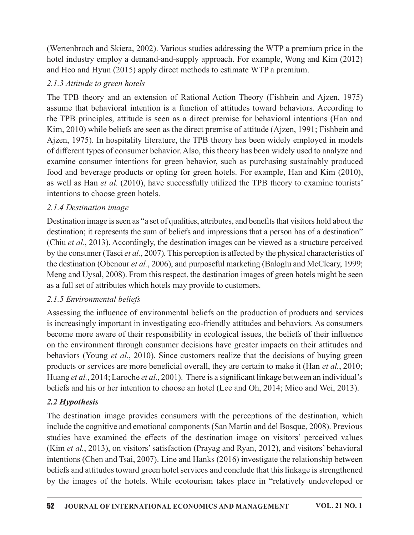(Wertenbroch and Skiera, 2002). Various studies addressing the WTP a premium price in the hotel industry employ a demand-and-supply approach. For example, Wong and Kim (2012) and Heo and Hyun (2015) apply direct methods to estimate WTP a premium.

## $2.1.3$  Attitude to green hotels

The TPB theory and an extension of Rational Action Theory (Fishbein and Ajzen, 1975) (Wertenbroch and Skiera, 2002). Various studies addressing the WTP a premium price in the Motel industry employ a demand-and-supply approach. For example, Wong and Kim (2012) and Heo and Hyun (2015) apply direct methods to the TPB principles, attitude is seen as a direct premise for behavioral intentions (Han and Kim, 2010) while beliefs are seen as the direct premise of attitude (Ajzen, 1991; Fishbein and Ajzen, 1975). In hospitality literature, the TPB theory has been widely employed in models of different types of consumer behavior. Also, this theory has been widely used to analyze and examine consumer intentions for green behavior, such as purchasing sustainably produced food and beverage products or opting for green hotels. For example, Han and Kim (2010), as well as Han et al. (2010), have successfully utilized the TPB theory to examine tourists' intentions to choose green hotels.

## 2.1.4 Destination image

Destination image is seen as "a set of qualities, attributes, and benefits that visitors hold about the destination; it represents the sum of beliefs and impressions that a person has of a destination" (Chiu et al., 2013). Accordingly, the destination images can be viewed as a structure perceived by the consumer (Tasci et al., 2007). This perception is affected by the physical characteristics of the destination (Obenour et al., 2006), and purposeful marketing (Baloglu and McCleary, 1999; Meng and Uysal, 2008). From this respect, the destination images of green hotels might be seen as a full set of attributes which hotels may provide to customers.

# 2.1.5 Environmental beliefs

Assessing the influence of environmental beliefs on the production of products and services is increasingly important in investigating eco-friendly attitudes and behaviors. As consumers become more aware of their responsibility in ecological issues, the beliefs of their influence on the environment through consumer decisions have greater impacts on their attitudes and intentions to choose green hotels.<br>
2.1.4 Destination image<br>
Destination image<br>
Destination; it represents the sum of beliefs and impressions that a person has of a destination"<br>
destination; it represents the sum of beli products or services are more beneficial overall, they are certain to make it (Han et al., 2010; Huang et al., 2014; Laroche et al., 2001). There is a significant linkage between an individual's beliefs and his or her intention to choose an hotel (Lee and Oh, 2014; Mieo and Wei, 2013).

# $2.2$  Hypothesis

The destination image provides consumers with the perceptions of the destination, which include the cognitive and emotional components (San Martin and del Bosque, 2008). Previous studies have examined the effects of the destination image on visitors' perceived values (Kim et al., 2013), on visitors' satisfaction (Prayag and Ryan, 2012), and visitors' behavioral intentions (Chen and Tsai, 2007). Line and Hanks(2016) investigate the relationship between beliefs and attitudes toward green hotel services and conclude that this linkage is strengthened by the images of the hotels. While ecotourism takes place in "relatively undeveloped or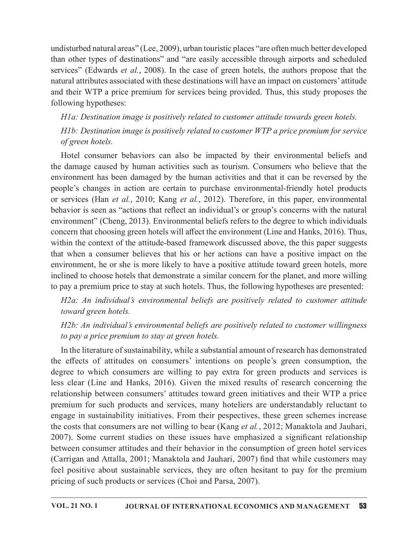undisturbed natural areas" (Lee, 2009), urban touristic places "are often much better developed than other types of destinations" and "are easily accessible through airports and scheduled undisturbed natural areas" (Lee, 2009), urban touristic places "are often much better developed<br>than other types of destinations" and "are easily accessible through airports and scheduled<br>services" (Edwards *et al.*, 2008) natural attributes associated with these destinations will have an impact on customers' attitude and their WTP a price premium for services being provided. Thus, this study proposes the following hypotheses: disturbed natural areas" (Lee, 2009), urban touristic places "are often much better developed<br>n other types of destinations" and "are easily accessible through airports and scheduled<br>vices" (Edwards *et al.*, 2008). In th

HIa: Destination image is positively related to customer attitude towards green hotels.

H1b: Destination image is positively related to customer WTP a price premium for service of green hotels.

undisturbed natural areas" (Lee, 2009), urban touristic places "are often much better developed than other types of destinations" and "are easily accessible through airports and scheduled services" (Edwards *et at*, 2008) undisturbed natural areas" (Lee, 2009), urban touristic places "are often much better developed<br>than other types of destinations" and "are easily accessible through airports and scheduled<br>services" (Edwards *et al.*, 2008 undisturbed natural areas" (Lee, 2009), urban touristic places "are often much better developed<br>than other types of destinations" and "are easily accessible through airports and scheduled<br>services" (Edwards *et al.*, 2008 undisturbed natural areas" (Lee, 2009), urban touristic places "are often much better developed<br>than other types of destinations" and "are easily accessible through airports and scheduled<br>services" (Edwards *et al.*, 2008 behavior is seen as "actions that reflect an individual's or group's concerns with the natural environment" (Cheng, 2013). Environmental beliefs refers to the degree to which individuals concern that choosing green hotels will affect the environment (Line and Hanks, 2016). Thus, within the context of the attitude-based framework discussed above, the this paper suggests and their WTP a price premium for services being provided. Thus, this study proposes the following hypotheses:<br> *HIa: Destination image is positively related to customer attitude towards green hotels.*<br> *HID: Destination* environment, he or she is more likely to have a positive attitude toward green hotels, more inclined to choose hotels that demonstrate a similar concern for the planet, and more willing to pay a premium price to stay at such hotels. Thus, the following hypotheses are presented: of green hotels.<br>
Hotel consumer behaviors can also be impacted by their environmental beliefs and<br>
damage caused by human activities such as tourism. Consumers who believe that the<br>
irivement has been damaged by the luma behavior is seen as "actions that reflect an individual"s or group"s concerns with the natural<br>environment" (Cheng, 2013). Environmental beliefs refers to the degree to which individuals<br>concern that choosing green hotels

toward green hotels.

H2b: An individual's environmental beliefs are positively related to customer willingness to pay a price premium to stay at green hotels.

In the literature of sustainability, while a substantial amount of research has demonstrated the effects of attitudes on consumers' intentions on people's green consumption, the less clear (Line and Hanks, 2016). Given the mixed results of research concerning the relationship between consumers' attitudes toward green initiatives and their WTP a price premium for such products and services, many hoteliers are understandably reluctant to engage in sustainability initiatives. From their pespectives, these green schemes increase the costs that consumers are not willing to bear (Kang *et al.*, 2012; Manaktola and Jauhari, 2007). Some current studies on these issues have emphasized a significant relationship between consumer attitudes and their behavior in the consumption of green hotel services (Carrigan and Attalla,  $2001$ ; Manaktola and Jauhari,  $2007$ ) find that while customers may feel positive about sustainable services, they are often hesitant to pay for the premium pricing of such products or services (Choi and Parsa, 2007).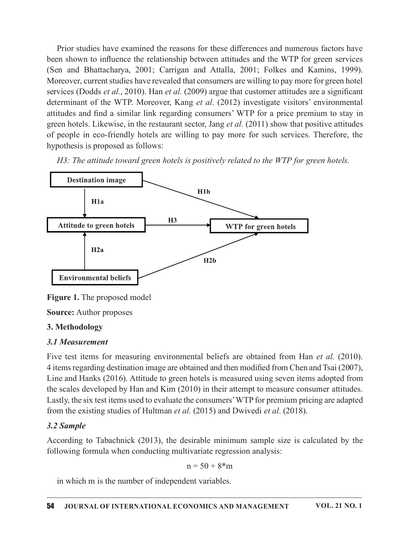Prior studies have examined the reasons for these differences and numerous factors have been shown to influence the relationship between attitudes and the WTP for green services (Sen and Bhattacharya, 2001; Carrigan and Attalla, 2001; Folkes and Kamins, 1999). Moreover, current studies have revealed that consumers are willing to pay more for green hotel services (Dodds et al., 2010). Han et al. (2009) argue that customer attitudes are a significant Prior studies have examined the reasons for these differences and numerous factors have been shown to influence the relationship between attitudes and the WTP for green services (Sen and Bhattacharya, 2001; Carrigan and A attitudes and find a similar link regarding consumers' WTP for a price premium to stay in green hotels. Likewise, in the restaurant sector, Jang *et al.*  $(2011)$  show that positive attitudes of people in eco-friendly hotels are willing to pay more for such services. Therefore, the hypothesis is proposed as follows:

 $H3$ : The attitude toward green hotels is positively related to the WTP for green hotels.



Figure 1. The proposed model

**Source:** Author proposes

### 3. Methodology

### 3.1 Measurement

4 items regarding destination image are obtained and then modified from Chen and Tsai (2007), Line and Hanks (2016). Attitude to green hotels is measured using seven items adopted from the scales developed by Han and Kim (2010) in their attempt to measure consumer attitudes. Lastly, the six test items used to evaluate the consumers' WTP for premium pricing are adapted from the existing studies of Hultman *et al.* (2015) and Dwivedi *et al.* (2018).

## 3.2 Sample

According to Tabachnick (2013), the desirable minimum sample size is calculated by the following formula when conducting multivariate regression analysis:

$$
n = 50 + 8\cdot m
$$

in which m is the number of independent variables.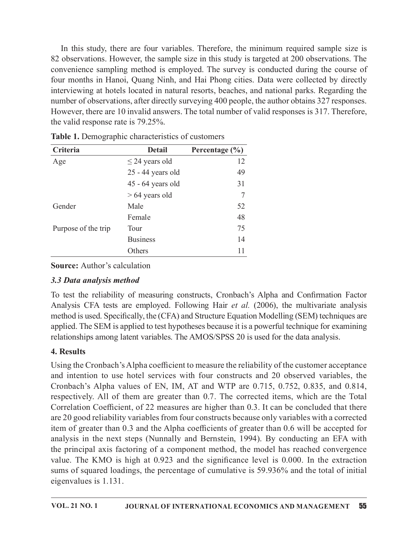In this study, there are four variables. Therefore, the minimum required sample size is 82 observations. However, the sample size in this study is targeted at 200 observations. The In this study, there are four variables. Therefore, the minimum required sample size is 82 observations. However, the sample size in this study is targeted at 200 observations. The convenience sampling method is employed. four months in Hanoi, Quang Ninh, and Hai Phong cities. Data were collected by directly interviewing at hotels located in natural resorts, beaches, and national parks. Regarding the number of observations, after directly surveying 400 people, the author obtains 327 responses. However, there are 10 invalid answers. The total number of valid responses is 317. Therefore, the valid response rate is 79.25%. are four variables. Therefore, the minimum required sample size is<br>ver, the sample size in this study is targeted at 200 observations. The<br>method is employed. The survey is conducted during the course of<br>Couarg Ninh, and

|                                                   |                     |                    | convenience bumping include to employed. The burvey to conducted during the course<br>four months in Hanoi, Quang Ninh, and Hai Phong cities. Data were collected by directly<br>interviewing at hotels located in natural resorts, beaches, and national parks. Regarding the                                                                                                                                                                                                     |  |
|---------------------------------------------------|---------------------|--------------------|------------------------------------------------------------------------------------------------------------------------------------------------------------------------------------------------------------------------------------------------------------------------------------------------------------------------------------------------------------------------------------------------------------------------------------------------------------------------------------|--|
| the valid response rate is 79.25%.                |                     |                    | number of observations, after directly surveying 400 people, the author obtains 327 responses.<br>However, there are 10 invalid answers. The total number of valid responses is 317. Therefore,                                                                                                                                                                                                                                                                                    |  |
| Table 1. Demographic characteristics of customers |                     |                    |                                                                                                                                                                                                                                                                                                                                                                                                                                                                                    |  |
| Criteria                                          | <b>Detail</b>       | Percentage $(\% )$ |                                                                                                                                                                                                                                                                                                                                                                                                                                                                                    |  |
| Age                                               | $\leq$ 24 years old | 12                 |                                                                                                                                                                                                                                                                                                                                                                                                                                                                                    |  |
|                                                   | 25 - 44 years old   | 49                 |                                                                                                                                                                                                                                                                                                                                                                                                                                                                                    |  |
|                                                   | 45 - 64 years old   | 31                 |                                                                                                                                                                                                                                                                                                                                                                                                                                                                                    |  |
|                                                   | $>64$ years old     | 7                  |                                                                                                                                                                                                                                                                                                                                                                                                                                                                                    |  |
| Gender                                            | Male                | 52                 |                                                                                                                                                                                                                                                                                                                                                                                                                                                                                    |  |
|                                                   | Female              | 48                 |                                                                                                                                                                                                                                                                                                                                                                                                                                                                                    |  |
| Purpose of the trip                               | Tour                | 75                 |                                                                                                                                                                                                                                                                                                                                                                                                                                                                                    |  |
|                                                   | <b>Business</b>     | 14                 |                                                                                                                                                                                                                                                                                                                                                                                                                                                                                    |  |
|                                                   | Others              | 11                 |                                                                                                                                                                                                                                                                                                                                                                                                                                                                                    |  |
| <b>Source:</b> Author's calculation               |                     |                    |                                                                                                                                                                                                                                                                                                                                                                                                                                                                                    |  |
| 3.3 Data analysis method                          |                     |                    |                                                                                                                                                                                                                                                                                                                                                                                                                                                                                    |  |
|                                                   |                     |                    | To test the reliability of measuring constructs, Cronbach's Alpha and Confirmation Factor<br>Analysis CFA tests are employed. Following Hair et al. (2006), the multivariate analysis<br>method is used. Specifically, the (CFA) and Structure Equation Modelling (SEM) techniques are<br>applied. The SEM is applied to test hypotheses because it is a powerful technique for examining<br>relationships among latent variables. The AMOS/SPSS 20 is used for the data analysis. |  |
| 4. Results                                        |                     |                    |                                                                                                                                                                                                                                                                                                                                                                                                                                                                                    |  |

Table 1. Demographic characteristics of customers

# 3.3 Data analysis method

# 4. Results

Using the Cronbach's Alpha coefficient to measure the reliability of the customer acceptance and intention to use hotel services with four constructs and 20 observed variables, the Cronbach's Alpha values of EN, IM, AT and WTP are 0.715, 0.752, 0.835, and 0.814, respectively. All of them are greater than 0.7. The corrected items, which are the Total Correlation Coefficient, of 22 measures are higher than 0.3. It can be concluded that there are 20 good reliability variables from four constructs because only variables with a corrected item of greater than 0.3 and the Alpha coefficients of greater than 0.6 will be accepted for analysis in the next steps (Nunnally and Bernstein, 1994). By conducting an EFA with the principal axis factoring of a component method, the model has reached convergence value. The KMO is high at  $0.923$  and the significance level is  $0.000$ . In the extraction sums of squared loadings, the percentage of cumulative is 59.936% and the total of initial eigenvalues is  $1.131$ .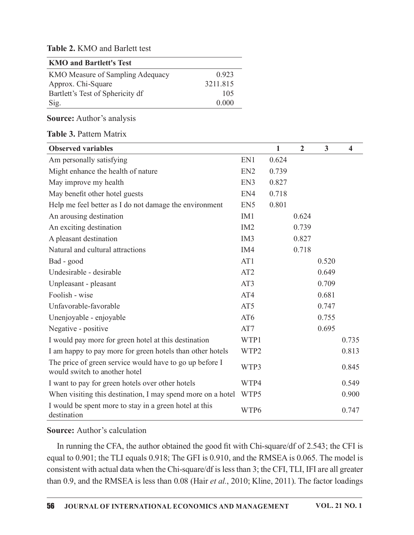#### Table 2. KMO and Barlett test

| <b>KMO and Bartlett's Test</b>   |          |
|----------------------------------|----------|
| KMO Measure of Sampling Adequacy | 0.923    |
| Approx. Chi-Square               | 3211.815 |
| Bartlett's Test of Sphericity df | 105      |
| Sig.                             | 0.000    |

#### Source: Author's analysis

#### Table 3. Pattern Matrix

| <b>Observed variables</b>                                                                |                 | $\mathbf{1}$ | $\overline{2}$ | $\mathbf{3}$ | $\overline{\mathbf{4}}$ |
|------------------------------------------------------------------------------------------|-----------------|--------------|----------------|--------------|-------------------------|
| Am personally satisfying                                                                 | EN1             | 0.624        |                |              |                         |
| Might enhance the health of nature                                                       | EN <sub>2</sub> | 0.739        |                |              |                         |
| May improve my health                                                                    | EN3             | 0.827        |                |              |                         |
| May benefit other hotel guests                                                           | EN4             | 0.718        |                |              |                         |
| Help me feel better as I do not damage the environment                                   | EN <sub>5</sub> | 0.801        |                |              |                         |
| An arousing destination                                                                  | IM1             |              | 0.624          |              |                         |
| An exciting destination                                                                  | IM <sub>2</sub> |              | 0.739          |              |                         |
| A pleasant destination                                                                   | IM <sub>3</sub> |              | 0.827          |              |                         |
| Natural and cultural attractions                                                         | IM4             |              | 0.718          |              |                         |
| Bad - good                                                                               | AT1             |              |                | 0.520        |                         |
| Undesirable - desirable                                                                  | AT <sub>2</sub> |              |                | 0.649        |                         |
| Unpleasant - pleasant                                                                    | AT3             |              |                | 0.709        |                         |
| Foolish - wise                                                                           | AT4             |              |                | 0.681        |                         |
| Unfavorable-favorable                                                                    | AT5             |              |                | 0.747        |                         |
| Unenjoyable - enjoyable                                                                  | AT6             |              |                | 0.755        |                         |
| Negative - positive                                                                      | AT7             |              |                | 0.695        |                         |
| I would pay more for green hotel at this destination                                     | WTP1            |              |                |              | 0.735                   |
| I am happy to pay more for green hotels than other hotels                                | WTP2            |              |                |              | 0.813                   |
| The price of green service would have to go up before I<br>would switch to another hotel | WTP3            |              |                |              | 0.845                   |
| I want to pay for green hotels over other hotels                                         | WTP4            |              |                |              | 0.549                   |
| When visiting this destination, I may spend more on a hotel                              | WTP5            |              |                |              | 0.900                   |
| I would be spent more to stay in a green hotel at this<br>destination                    | WTP6            |              |                |              | 0.747                   |

#### **Source:** Author's calculation

In running the CFA, the author obtained the good fit with Chi-square/df of 2.543; the CFI is equal to 0.901; the TLI equals 0.918; The GFI is 0.910, and the RMSEA is 0.065. The model is consistent with actual data when the Chi-square/df is less than 3; the CFI, TLI, IFI are all greater than 0.9, and the RMSEA is less than 0.08 (Hair et al., 2010; Kline, 2011). The factor loadings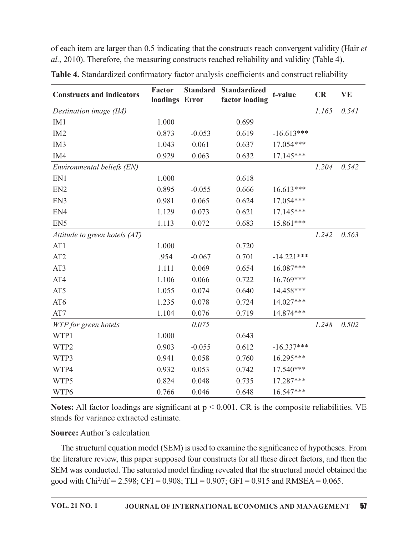of each item are larger than 0.5 indicating that the constructs reach convergent validity (Hair et al., 2010). Therefore, the measuring constructs reached reliability and validity (Table 4).

| <b>Constructs and indicators</b> | Factor<br>loadings Error |          | <b>Standard Standardized</b><br>factor loading | t-value      | CR    | <b>VE</b> |
|----------------------------------|--------------------------|----------|------------------------------------------------|--------------|-------|-----------|
| Destination image (IM)           |                          |          |                                                |              | 1.165 | 0.541     |
| IM1                              | 1.000                    |          | 0.699                                          |              |       |           |
| IM <sub>2</sub>                  | 0.873                    | $-0.053$ | 0.619                                          | $-16.613***$ |       |           |
| IM <sub>3</sub>                  | 1.043                    | 0.061    | 0.637                                          | 17.054***    |       |           |
| IM4                              | 0.929                    | 0.063    | 0.632                                          | 17.145***    |       |           |
| Environmental beliefs (EN)       |                          |          |                                                |              | 1.204 | 0.542     |
| EN1                              | 1.000                    |          | 0.618                                          |              |       |           |
| EN <sub>2</sub>                  | 0.895                    | $-0.055$ | 0.666                                          | $16.613***$  |       |           |
| EN3                              | 0.981                    | 0.065    | 0.624                                          | 17.054***    |       |           |
| EN4                              | 1.129                    | 0.073    | 0.621                                          | 17.145***    |       |           |
| EN <sub>5</sub>                  | 1.113                    | 0.072    | 0.683                                          | 15.861***    |       |           |
| Attitude to green hotels (AT)    |                          |          |                                                |              | 1.242 | 0.563     |
| AT1                              | 1.000                    |          | 0.720                                          |              |       |           |
| AT <sub>2</sub>                  | .954                     | $-0.067$ | 0.701                                          | $-14.221***$ |       |           |
| AT3                              | 1.111                    | 0.069    | 0.654                                          | 16.087***    |       |           |
| AT4                              | 1.106                    | 0.066    | 0.722                                          | 16.769***    |       |           |
| AT5                              | 1.055                    | 0.074    | 0.640                                          | 14.458***    |       |           |
| AT6                              | 1.235                    | 0.078    | 0.724                                          | 14.027***    |       |           |
| AT7                              | 1.104                    | 0.076    | 0.719                                          | 14.874***    |       |           |
| WTP for green hotels             |                          | 0.075    |                                                |              | 1.248 | 0.502     |
| WTP1                             | 1.000                    |          | 0.643                                          |              |       |           |
| WTP2                             | 0.903                    | $-0.055$ | 0.612                                          | $-16.337***$ |       |           |
| WTP3                             | 0.941                    | 0.058    | 0.760                                          | 16.295***    |       |           |
| WTP4                             | 0.932                    | 0.053    | 0.742                                          | 17.540***    |       |           |
| WTP5                             | 0.824                    | 0.048    | 0.735                                          | 17.287***    |       |           |
| WTP6                             | 0.766                    | 0.046    | 0.648                                          | $16.547***$  |       |           |

Table 4. Standardized confirmatory factor analysis coefficients and construct reliability

Notes: All factor loadings are significant at  $p < 0.001$ . CR is the composite reliabilities. VE stands for variance extracted estimate.

### **Source:** Author's calculation

The structural equation model (SEM) is used to examine the significance of hypotheses. From the literature review, this paper supposed four constructs for all these direct factors, and then the SEM was conducted. The saturated model finding revealed that the structural model obtained the good with Chi<sup>2</sup>/df = 2.598; CFI = 0.908; TLI = 0.907; GFI = 0.915 and RMSEA = 0.065.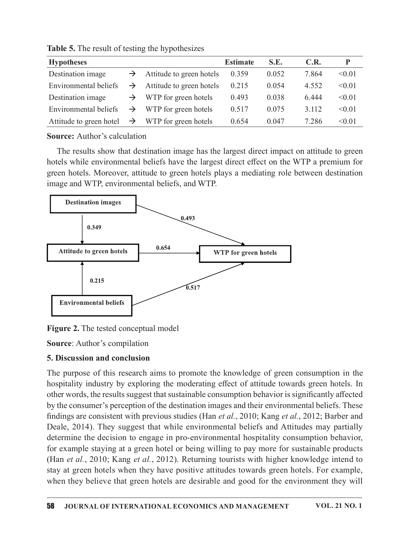|                                                                                                                                                                                          |                                                 |               |                          | <b>Estimate</b> | S.E.  | C.R.  | $\mathbf{P}$ |
|------------------------------------------------------------------------------------------------------------------------------------------------------------------------------------------|-------------------------------------------------|---------------|--------------------------|-----------------|-------|-------|--------------|
|                                                                                                                                                                                          | Table 5. The result of testing the hypothesizes | $\rightarrow$ | Attitude to green hotels | 0.359           | 0.052 | 7.864 | < 0.01       |
| <b>Hypotheses</b><br>Destination image                                                                                                                                                   |                                                 |               |                          |                 |       |       |              |
| Environmental beliefs<br>Attitude to green hotels<br>< 0.01<br>0.215<br>0.054<br>4.552<br>$\rightarrow$                                                                                  |                                                 |               |                          |                 |       |       |              |
| < 0.01<br>Destination image<br>WTP for green hotels<br>0.493<br>0.038<br>6.444<br>$\rightarrow$                                                                                          |                                                 |               |                          |                 |       |       |              |
| Environmental beliefs<br>WTP for green hotels<br>0.517<br>0.075<br>< 0.01<br>3.112<br>$\rightarrow$                                                                                      |                                                 |               |                          |                 |       |       |              |
| < 0.01<br>Attitude to green hotel<br>WTP for green hotels<br>0.654<br>0.047<br>7.286<br>$\rightarrow$                                                                                    |                                                 |               |                          |                 |       |       |              |
|                                                                                                                                                                                          |                                                 |               |                          |                 |       |       |              |
|                                                                                                                                                                                          |                                                 |               |                          |                 |       |       |              |
|                                                                                                                                                                                          | <b>Source:</b> Author's calculation             |               |                          |                 |       |       |              |
| The results show that destination image has the largest direct impact on attitude to green<br>hotels while environmental beliefs have the largest direct effect on the WTP a premium for |                                                 |               |                          |                 |       |       |              |

Table 5. The result of testing the hypothesizes

The results show that destination image has the largest direct impact on attitude to green hotels while environmental beliefs have the largest direct effect on the WTP a premium for green hotels. Moreover, attitude to green hotels plays a mediating role between destination image and WTP, environmental beliefs, and WTP.



Figure 2. The tested conceptual model

**Source:** Author's compilation

## 5. Discussion and conclusion

The purpose of this research aims to promote the knowledge of green consumption in the hospitality industry by exploring the moderating effect of attitude towards green hotels. In other words, the results suggest that sustainable consumption behavior is significantly affected by the consumer's perception of the destination images and their environmental beliefs. These findings are consistent with previous studies (Han et al., 2010; Kang et al., 2012; Barber and Deale, 2014). They suggest that while environmental beliefs and Attitudes may partially determine the decision to engage in pro-environmental hospitality consumption behavior, for example staying at a green hotel or being willing to pay more for sustainable products (Han et al., 2010; Kang et al., 2012). Returning tourists with higher knowledge intend to stay at green hotelswhen they have positive attitudes towards green hotels. For example, when they believe that green hotels are desirable and good for the environment they will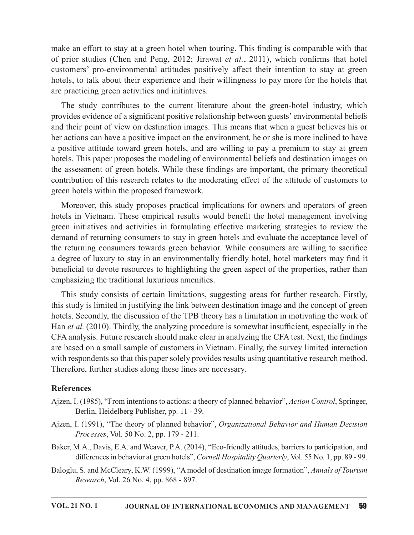make an effort to stay at a green hotel when touring. This finding is comparable with that of prior studies (Chen and Peng, 2012; Jirawat et al., 2011), which confirms that hotel customers' pro-environmental attitudes positively affect their intention to stay at green hotels, to talk about their experience and their willingness to pay more for the hotels that are practicing green activities and initiatives.

The study contributes to the current literature about the green-hotel industry, which provides evidence of a significant positive relationship between guests' environmental beliefs and their point of view on destination images. This means that when a guest believes his or her actions can have a positive impact on the environment, he or she is more inclined to have a positive attitude toward green hotels, and are willing to pay a premium to stay at green hotels. This paper proposes the modeling of environmental beliefs and destination images on the assessment of green hotels. While these findings are important, the primary theoretical contribution of this research relates to the moderating effect of the attitude of customers to green hotels within the proposed framework.

Moreover, this study proposes practical implications for owners and operators of green hotels in Vietnam. These empirical results would benefit the hotel management involving green initiatives and activities in formulating effective marketing strategies to review the demand of returning consumers to stay in green hotels and evaluate the acceptance level of the returning consumers towards green behavior. While consumers are willing to sacrifice a degree of luxury to stay in an environmentally friendly hotel, hotel marketers may find it beneficial to devote resources to highlighting the green aspect of the properties, rather than emphasizing the traditional luxurious amenities.

This study consists of certain limitations, suggesting areas for further research. Firstly, this study is limited in justifying the link between destination image and the concept of green hotels. Secondly, the discussion of the TPB theory has a limitation in motivating the work of Han et al. (2010). Thirdly, the analyzing procedure is somewhat insufficient, especially in the CFA analysis. Future research should make clear in analyzing the CFA test. Next, the findings are based on a small sample of customers in Vietnam. Finally, the survey limited interaction with respondents so that this paper solely provides results using quantitative research method. Therefore, further studies along these lines are necessary.

#### References

- Ajzen, I. (1985), "From intentions to actions: a theory of planned behavior", Action Control, Springer, Berlin, Heidelberg Publisher, pp. 11 - 39.
- Ajzen, I. (1991), "The theory of planned behavior", Organizational Behavior and Human Decision Processes, Vol. 50 No. 2, pp. 179 - 211.
- Baker, M.A., Davis, E.A. and Weaver, P.A. (2014), "Eco-friendly attitudes, barriers to participation, and differences in behavior at green hotels", Cornell Hospitality Quarterly, Vol. 55 No. 1, pp. 89 - 99.
- Baloglu, S. and McCleary, K.W. (1999), "A model of destination image formation", Annals of Tourism Research, Vol. 26 No. 4, pp. 868 - 897.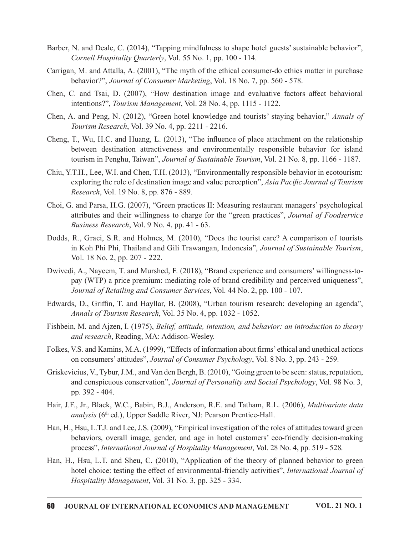- Barber, N. and Deale, C. (2014), "Tapping mindfulness to shape hotel guests' sustainable behavior", Cornell Hospitality Quarterly, Vol. 55 No. 1, pp. 100 - 114.
- Carrigan, M. and Attalla, A. (2001), "The myth of the ethical consumer-do ethics matter in purchase behavior?", Journal of Consumer Marketing, Vol. 18 No. 7, pp. 560 - 578.
- Chen, C. and Tsai, D. (2007), "How destination image and evaluative factors a൵ect behavioral intentions?", *Tourism Management*, Vol. 28 No. 4, pp. 1115 - 1122.
- Chen, A. and Peng, N.  $(2012)$ , "Green hotel knowledge and tourists' staying behavior," Annals of Tourism Research, Vol. 39 No. 4, pp. 2211 - 2216.
- Cheng, T., Wu, H.C. and Huang, L. (2013), "The influence of place attachment on the relationship N. and Deale, C. (2014), "Tapping mindfulness to shape hotel guests' sustainable behavior", Cornell Hospitality Quarterly, Vol. 55 No. 1, pp. 100 - 114.<br>
n, M. and Attalla, A. (2001), "The myth of the ethical consumer-do e tourism in Penghu, Taiwan", Journal of Sustainable Tourism, Vol. 21 No. 8, pp. 1166 - 1187.
- Chiu, Y.T.H., Lee, W.I. and Chen, T.H. (2013), "Environmentally responsible behavior in ecotourism: exploring the role of destination image and value perception", Asia Pacific Journal of Tourism Research, Vol. 19 No. 8, pp. 876 - 889.
- Choi, G. and Parsa, H.G. (2007), "Green practices II: Measuring restaurant managers' psychological attributes and their willingness to charge for the "green practices", Journal of Foodservice Business Research, Vol. 9 No. 4, pp. 41 - 63.
- Dodds, R., Graci, S.R. and Holmes, M. (2010), "Does the tourist care? A comparison of tourists in Koh Phi Phi, Thailand and Gili Trawangan, Indonesia", Journal of Sustainable Tourism, Vol. 18 No. 2, pp. 207 - 222.
- Dwivedi, A., Nayeem, T. and Murshed, F. (2018), "Brand experience and consumers' willingness-topay (WTP) a price premium: mediating role of brand credibility and perceived uniqueness", Journal of Retailing and Consumer Services, Vol. 44 No. 2, pp. 100 - 107.
- Edwards, D., Griffin, T. and Hayllar, B. (2008), "Urban tourism research: developing an agenda", Annals of Tourism Research, Vol. 35 No. 4, pp.  $1032 - 1052$ .
- Fishbein, M. and Ajzen, I. (1975), *Belief, attitude, intention, and behavior: an introduction to theory* and research, Reading, MA: Addison-Wesley.
- Folkes, V.S. and Kamins, M.A. (1999), "Effects of information about firms' ethical and unethical actions on consumers' attitudes", Journal of Consumer Psychology, Vol. 8 No. 3, pp. 243 - 259.
- Griskevicius, V., Tybur, J.M., and Van den Bergh, B. (2010), "Going green to be seen: status, reputation, and conspicuous conservation", Journal of Personality and Social Psychology, Vol. 98 No. 3, pp. 392 - 404.
- Hair, J.F., Jr., Black, W.C., Babin, B.J., Anderson, R.E. and Tatham, R.L. (2006), *Multivariate data* analysis ( $6<sup>th</sup>$  ed.), Upper Saddle River, NJ: Pearson Prentice-Hall.
- Han, H., Hsu, L.T.J. and Lee, J.S. (2009), "Empirical investigation of the roles of attitudes toward green behaviors, overall image, gender, and age in hotel customers' eco-friendly decision-making process", International Journal of Hospitality Management, Vol. 28 No. 4, pp. 519 - 528.
- Han, H., Hsu, L.T. and Sheu, C. (2010), "Application of the theory of planned behavior to green hotel choice: testing the effect of environmental-friendly activities", International Journal of Hospitality Management, Vol. 31 No. 3, pp. 325 - 334.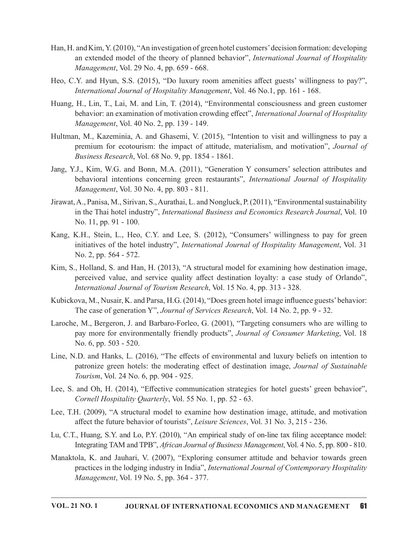- Han, H. and Kim, Y. (2010), "An investigation of green hotel customers' decision formation: developing an extended model of the theory of planned behavior", International Journal of Hospitality Management, Vol. 29 No. 4, pp. 659 - 668.
- Heo, C.Y. and Hyun, S.S. (2015), "Do luxury room amenities affect guests' willingness to pay?", International Journal of Hospitality Management, Vol. 46 No.1, pp. 161 - 168.
- Huang, H., Lin, T., Lai, M. and Lin, T. (2014), "Environmental consciousness and green customer behavior: an examination of motivation crowding effect", International Journal of Hospitality Management, Vol. 40 No. 2, pp. 139 - 149.
- Hultman, M., Kazeminia, A. and Ghasemi, V. (2015), "Intention to visit and willingness to pay a premium for ecotourism: the impact of attitude, materialism, and motivation", Journal of Business Research, Vol. 68 No. 9, pp. 1854 - 1861. and Kim, Y. (2010), "An investigation of green hotel eustomers' decision formation: developing<br>an axtended model of the theory of planned behavior", *International Journal of Hospitality*<br>Management, Vol. 29 No. 4, pp. 659
- Jang, Y.J., Kim, W.G. and Bonn, M.A. (2011), "Generation Y consumers' selection attributes and Management, Vol. 30 No. 4, pp. 803 - 811.
- Jirawat, A., Panisa, M., Sirivan, S., Aurathai, L. and Nongluck, P. (2011), "Environmental sustainability in the Thai hotel industry", International Business and Economics Research Journal, Vol. 10 No. 11, pp. 91 - 100.
- Kang, K.H., Stein, L., Heo, C.Y. and Lee, S. (2012),"Consumers' willingness to pay for green initiatives of the hotel industry", International Journal of Hospitality Management, Vol. 31 No. 2, pp. 564 - 572.
- Kim, S., Holland, S. and Han, H. (2013), "A structural model for examining how destination image, perceived value, and service quality affect destination loyalty: a case study of Orlando", International Journal of Tourism Research, Vol. 15 No. 4, pp. 313 - 328.
- Kubickova, M., Nusair, K. and Parsa, H.G. (2014), "Does green hotel image influence guests' behavior: The case of generation Y", Journal of Services Research, Vol. 14 No. 2, pp. 9 - 32.
- Laroche, M., Bergeron, J. and Barbaro-Forleo, G. (2001), "Targeting consumers who arewilling to pay more for environmentally friendly products", Journal of Consumer Marketing, Vol. 18 No. 6, pp. 503 - 520.
- Line, N.D. and Hanks, L. (2016), "The effects of environmental and luxury beliefs on intention to patronize green hotels: the moderating effect of destination image, Journal of Sustainable Tourism, Vol. 24 No. 6, pp. 904 - 925.
- Lee, S. and Oh, H. (2014), "Effective communication strategies for hotel guests' green behavior", Cornell Hospitality Quarterly, Vol. 55 No. 1, pp. 52 - 63.
- Lee, T.H. (2009), "A structural model to examine how destination image, attitude, and motivation affect the future behavior of tourists", *Leisure Sciences*, Vol. 31 No. 3, 215 - 236.
- Lu, C.T., Huang, S.Y. and Lo, P.Y. (2010), "An empirical study of on-line tax filing acceptance model: Integrating TAM and TPB", African Journal of Business Management, Vol. 4 No. 5, pp. 800 - 810.
- Manaktola, K. and Jauhari, V. (2007), "Exploring consumer attitude and behavior towards green practices in the lodging industry in India", International Journal of Contemporary Hospitality Management, Vol. 19 No. 5, pp. 364 - 377.